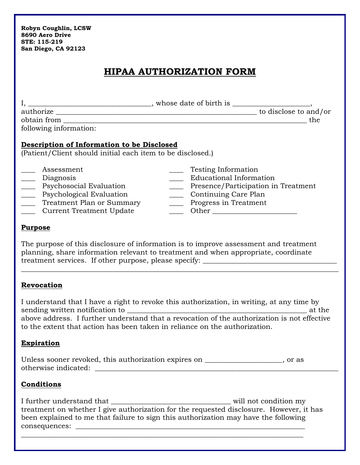| Robyn Coughlin, LCSW |
|----------------------|
| 8690 Aero Drive      |
| STE: 115-219         |
| San Diego, CA 92123  |

## **HIPAA AUTHORIZATION FORM**

|                                                                                                                                                                                                                                                                | the                                                                                                                                                                                                                                                                                                                                                                                                                                                                                                                                                                                                                    |
|----------------------------------------------------------------------------------------------------------------------------------------------------------------------------------------------------------------------------------------------------------------|------------------------------------------------------------------------------------------------------------------------------------------------------------------------------------------------------------------------------------------------------------------------------------------------------------------------------------------------------------------------------------------------------------------------------------------------------------------------------------------------------------------------------------------------------------------------------------------------------------------------|
| following information:                                                                                                                                                                                                                                         |                                                                                                                                                                                                                                                                                                                                                                                                                                                                                                                                                                                                                        |
| Description of Information to be Disclosed<br>(Patient/Client should initial each item to be disclosed.)                                                                                                                                                       |                                                                                                                                                                                                                                                                                                                                                                                                                                                                                                                                                                                                                        |
| Assessment<br>Diagnosis<br>$\overline{\phantom{a}}$<br>$\begin{array}{c}\n\hline\n\hline\n\end{array}$<br>Psychosocial Evaluation<br>Psychological Evaluation<br>____ Treatment Plan or Summary<br><b>Current Treatment Update</b><br>$\overline{\phantom{a}}$ | <b>Testing Information</b><br><b>Educational Information</b><br>Presence/Participation in Treatment<br>Continuing Care Plan<br>____ Progress in Treatment<br>$\frac{1}{\sqrt{1-\frac{1}{2}}}\cdot \frac{1}{\sqrt{1-\frac{1}{2}}}\cdot \frac{1}{\sqrt{1-\frac{1}{2}}}\cdot \frac{1}{\sqrt{1-\frac{1}{2}}}\cdot \frac{1}{\sqrt{1-\frac{1}{2}}}\cdot \frac{1}{\sqrt{1-\frac{1}{2}}}\cdot \frac{1}{\sqrt{1-\frac{1}{2}}}\cdot \frac{1}{\sqrt{1-\frac{1}{2}}}\cdot \frac{1}{\sqrt{1-\frac{1}{2}}}\cdot \frac{1}{\sqrt{1-\frac{1}{2}}}\cdot \frac{1}{\sqrt{1-\frac{1}{2}}}\cdot \frac{1}{\sqrt{1-\frac{1}{2}}}\cdot \frac{1$ |
| <b>Purpose</b>                                                                                                                                                                                                                                                 |                                                                                                                                                                                                                                                                                                                                                                                                                                                                                                                                                                                                                        |
|                                                                                                                                                                                                                                                                | The purpose of this disclosure of information is to improve assessment and treatment<br>planning, share information relevant to treatment and when appropriate, coordinate<br>treatment services. If other purpose, please specify: ___________________________                                                                                                                                                                                                                                                                                                                                                        |
| <b>Revocation</b>                                                                                                                                                                                                                                              |                                                                                                                                                                                                                                                                                                                                                                                                                                                                                                                                                                                                                        |
|                                                                                                                                                                                                                                                                | I understand that I have a right to revoke this authorization, in writing, at any time by<br>above address. I further understand that a revocation of the authorization is not effective<br>to the extent that action has been taken in reliance on the authorization.                                                                                                                                                                                                                                                                                                                                                 |
| <b>Expiration</b>                                                                                                                                                                                                                                              |                                                                                                                                                                                                                                                                                                                                                                                                                                                                                                                                                                                                                        |
| otherwise indicated:                                                                                                                                                                                                                                           | Unless sooner revoked, this authorization expires on __________________, or as                                                                                                                                                                                                                                                                                                                                                                                                                                                                                                                                         |
| <b>Conditions</b>                                                                                                                                                                                                                                              |                                                                                                                                                                                                                                                                                                                                                                                                                                                                                                                                                                                                                        |
|                                                                                                                                                                                                                                                                |                                                                                                                                                                                                                                                                                                                                                                                                                                                                                                                                                                                                                        |